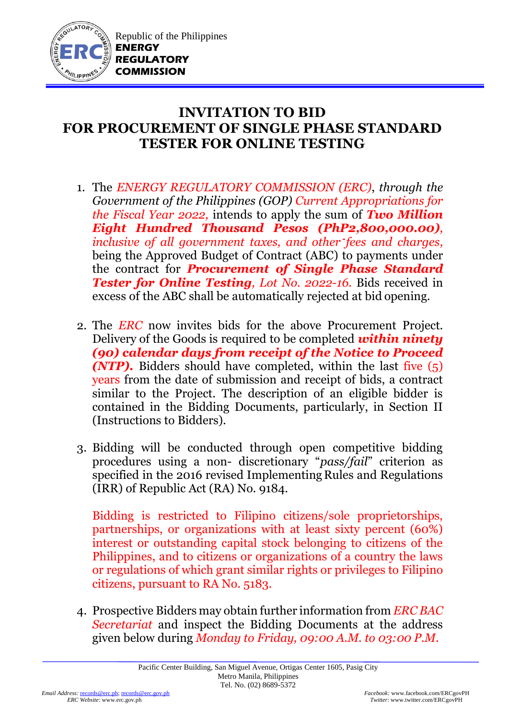

## **INVITATION TO BID FOR PROCUREMENT OF SINGLE PHASE STANDARD TESTER FOR ONLINE TESTING**

- 1. The *ENERGY REGULATORY COMMISSION (ERC)*, *through the Government of the Philippines (GOP) Current Appropriations for the Fiscal Year 2022,* intends to apply the sum of *Two Million Eight Hundred Thousand Pesos (PhP2,800,000.00), inclusive of all government taxes, and other fees and charges,* being the Approved Budget of Contract (ABC) to payments under the contract for *Procurement of Single Phase Standard Tester for Online Testing, Lot No. 2022-16.* Bids received in excess of the ABC shall be automatically rejected at bid opening.
- 2. The *ERC* now invites bids for the above Procurement Project. Delivery of the Goods is required to be completed *within ninety (90) calendar days from receipt of the Notice to Proceed (NTP).* Bidders should have completed, within the last five (5) years from the date of submission and receipt of bids, a contract similar to the Project. The description of an eligible bidder is contained in the Bidding Documents, particularly, in Section II (Instructions to Bidders).
- 3. Bidding will be conducted through open competitive bidding procedures using a non- discretionary "*pass/fail*" criterion as specified in the 2016 revised Implementing Rules and Regulations (IRR) of Republic Act (RA) No. 9184.

Bidding is restricted to Filipino citizens/sole proprietorships, partnerships, or organizations with at least sixty percent (60%) interest or outstanding capital stock belonging to citizens of the Philippines, and to citizens or organizations of a country the laws or regulations of which grant similar rights or privileges to Filipino citizens, pursuant to RA No. 5183.

4. Prospective Bidders may obtain further information from *ERC BAC Secretariat* and inspect the Bidding Documents at the address given below during *Monday to Friday, 09:00 A.M. to 03:00 P.M*.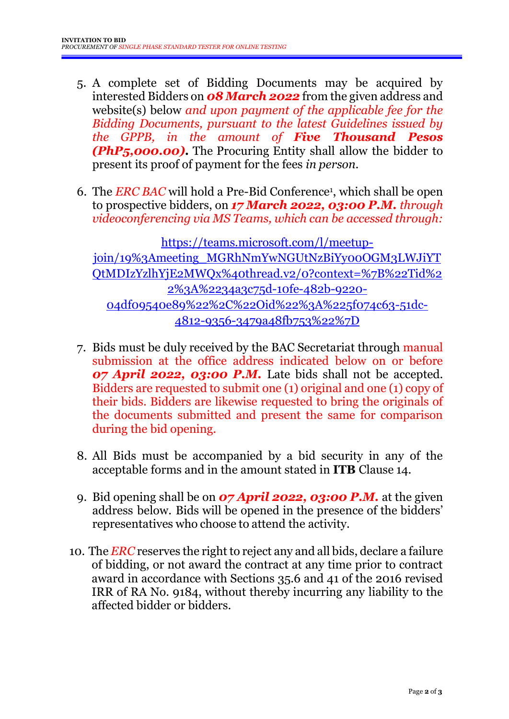- 5. A complete set of Bidding Documents may be acquired by interested Bidders on *08 March 2022* from the given address and website(s) below *and upon payment of the applicable fee for the Bidding Documents, pursuant to the latest Guidelines issued by the GPPB, in the amount of Five Thousand Pesos (PhP5,000.00)***.** The Procuring Entity shall allow the bidder to present its proof of payment for the fees *in person.*
- 6. The *ERC BAC* will hold a Pre-Bid Conference<sup>1</sup> , which shall be open to prospective bidders, on *17 March 2022, 03:00 P.M. through videoconferencing via MS Teams, which can be accessed through:*

[https://teams.microsoft.com/l/meetup](https://teams.microsoft.com/l/meetup-join/19%3Ameeting_MGRhNmYwNGUtNzBiYy00OGM3LWJiYTQtMDIzYzlhYjE2MWQx%40thread.v2/0?context=%7B%22Tid%22%3A%2234a3c75d-10fe-482b-9220-04df09540e89%22%2C%22Oid%22%3A%225f074c63-51dc-4812-9356-3479a48fb753%22%7D)[join/19%3Ameeting\\_MGRhNmYwNGUtNzBiYy00OGM3LWJiYT](https://teams.microsoft.com/l/meetup-join/19%3Ameeting_MGRhNmYwNGUtNzBiYy00OGM3LWJiYTQtMDIzYzlhYjE2MWQx%40thread.v2/0?context=%7B%22Tid%22%3A%2234a3c75d-10fe-482b-9220-04df09540e89%22%2C%22Oid%22%3A%225f074c63-51dc-4812-9356-3479a48fb753%22%7D) [QtMDIzYzlhYjE2MWQx%40thread.v2/0?context=%7B%22Tid%2](https://teams.microsoft.com/l/meetup-join/19%3Ameeting_MGRhNmYwNGUtNzBiYy00OGM3LWJiYTQtMDIzYzlhYjE2MWQx%40thread.v2/0?context=%7B%22Tid%22%3A%2234a3c75d-10fe-482b-9220-04df09540e89%22%2C%22Oid%22%3A%225f074c63-51dc-4812-9356-3479a48fb753%22%7D) [2%3A%2234a3c75d-10fe-482b-9220-](https://teams.microsoft.com/l/meetup-join/19%3Ameeting_MGRhNmYwNGUtNzBiYy00OGM3LWJiYTQtMDIzYzlhYjE2MWQx%40thread.v2/0?context=%7B%22Tid%22%3A%2234a3c75d-10fe-482b-9220-04df09540e89%22%2C%22Oid%22%3A%225f074c63-51dc-4812-9356-3479a48fb753%22%7D) [04df09540e89%22%2C%22Oid%22%3A%225f074c63-51dc-](https://teams.microsoft.com/l/meetup-join/19%3Ameeting_MGRhNmYwNGUtNzBiYy00OGM3LWJiYTQtMDIzYzlhYjE2MWQx%40thread.v2/0?context=%7B%22Tid%22%3A%2234a3c75d-10fe-482b-9220-04df09540e89%22%2C%22Oid%22%3A%225f074c63-51dc-4812-9356-3479a48fb753%22%7D)[4812-9356-3479a48fb753%22%7D](https://teams.microsoft.com/l/meetup-join/19%3Ameeting_MGRhNmYwNGUtNzBiYy00OGM3LWJiYTQtMDIzYzlhYjE2MWQx%40thread.v2/0?context=%7B%22Tid%22%3A%2234a3c75d-10fe-482b-9220-04df09540e89%22%2C%22Oid%22%3A%225f074c63-51dc-4812-9356-3479a48fb753%22%7D)

- 7. Bids must be duly received by the BAC Secretariat through manual submission at the office address indicated below on or before *07 April 2022, 03:00 P.M.* Late bids shall not be accepted. Bidders are requested to submit one (1) original and one (1) copy of their bids. Bidders are likewise requested to bring the originals of the documents submitted and present the same for comparison during the bid opening.
- 8. All Bids must be accompanied by a bid security in any of the acceptable forms and in the amount stated in **ITB** Clause 14.
- 9. Bid opening shall be on *07 April 2022, 03:00 P.M.* at the given address below. Bids will be opened in the presence of the bidders' representatives who choose to attend the activity.
- 10. The *ERC* reserves the right to reject any and all bids, declare a failure of bidding, or not award the contract at any time prior to contract award in accordance with Sections 35.6 and 41 of the 2016 revised IRR of RA No. 9184, without thereby incurring any liability to the affected bidder or bidders.